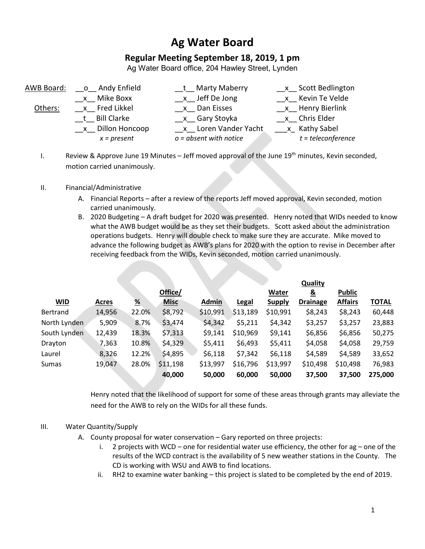# **Ag Water Board**

## **Regular Meeting September 18, 2019, 1 pm**

Ag Water Board office, 204 Hawley Street, Lynden

| x Scott Bedlington   |
|----------------------|
| x Kevin Te Velde     |
| x Henry Bierlink     |
|                      |
|                      |
| $t = teleconference$ |
|                      |

I. Review & Approve June 19 Minutes – Jeff moved approval of the June  $19<sup>th</sup>$  minutes, Kevin seconded, motion carried unanimously.

### II. Financial/Administrative

- A. Financial Reports after a review of the reports Jeff moved approval, Kevin seconded, motion carried unanimously.
- B. 2020 Budgeting A draft budget for 2020 was presented. Henry noted that WIDs needed to know what the AWB budget would be as they set their budgets. Scott asked about the administration operations budgets. Henry will double check to make sure they are accurate. Mike moved to advance the following budget as AWB's plans for 2020 with the option to revise in December after receiving feedback from the WIDs, Kevin seconded, motion carried unanimously.

|              |              |       |             |              |          |               | <b>Quality</b>  |                |              |
|--------------|--------------|-------|-------------|--------------|----------|---------------|-----------------|----------------|--------------|
|              |              |       | Office/     |              |          | Water         | <u>&amp;</u>    | <b>Public</b>  |              |
| <b>WID</b>   | <b>Acres</b> | %     | <b>Misc</b> | <b>Admin</b> | Legal    | <b>Supply</b> | <b>Drainage</b> | <b>Affairs</b> | <b>TOTAL</b> |
| Bertrand     | 14,956       | 22.0% | \$8,792     | \$10,991     | \$13,189 | \$10,991      | \$8,243         | \$8,243        | 60,448       |
| North Lynden | 5,909        | 8.7%  | \$3,474     | \$4,342      | \$5,211  | \$4,342       | \$3,257         | \$3,257        | 23,883       |
| South Lynden | 12,439       | 18.3% | \$7,313     | \$9,141      | \$10,969 | \$9,141       | \$6,856         | \$6,856        | 50,275       |
| Drayton      | 7,363        | 10.8% | \$4,329     | \$5,411      | \$6,493  | \$5,411       | \$4,058         | \$4,058        | 29,759       |
| Laurel       | 8,326        | 12.2% | \$4,895     | \$6,118      | \$7,342  | \$6,118       | \$4,589         | \$4,589        | 33,652       |
| Sumas        | 19,047       | 28.0% | \$11,198    | \$13,997     | \$16,796 | \$13,997      | \$10,498        | \$10,498       | 76,983       |
|              |              |       | 40,000      | 50,000       | 60,000   | 50,000        | 37,500          | 37,500         | 275,000      |

Henry noted that the likelihood of support for some of these areas through grants may alleviate the need for the AWB to rely on the WIDs for all these funds.

### III. Water Quantity/Supply

- A. County proposal for water conservation Gary reported on three projects:
	- i. 2 projects with WCD one for residential water use efficiency, the other for ag one of the results of the WCD contract is the availability of 5 new weather stations in the County. The CD is working with WSU and AWB to find locations.
	- ii. RH2 to examine water banking this project is slated to be completed by the end of 2019.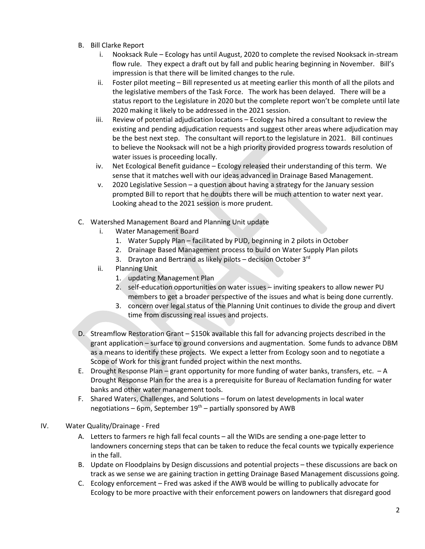- B. Bill Clarke Report
	- i. Nooksack Rule Ecology has until August, 2020 to complete the revised Nooksack in-stream flow rule. They expect a draft out by fall and public hearing beginning in November. Bill's impression is that there will be limited changes to the rule.
	- ii. Foster pilot meeting Bill represented us at meeting earlier this month of all the pilots and the legislative members of the Task Force. The work has been delayed. There will be a status report to the Legislature in 2020 but the complete report won't be complete until late 2020 making it likely to be addressed in the 2021 session.
	- iii. Review of potential adjudication locations Ecology has hired a consultant to review the existing and pending adjudication requests and suggest other areas where adjudication may be the best next step. The consultant will report to the legislature in 2021. Bill continues to believe the Nooksack will not be a high priority provided progress towards resolution of water issues is proceeding locally.
	- iv. Net Ecological Benefit guidance Ecology released their understanding of this term. We sense that it matches well with our ideas advanced in Drainage Based Management.
	- v. 2020 Legislative Session a question about having a strategy for the January session prompted Bill to report that he doubts there will be much attention to water next year. Looking ahead to the 2021 session is more prudent.
- C. Watershed Management Board and Planning Unit update
	- i. Water Management Board
		- 1. Water Supply Plan facilitated by PUD, beginning in 2 pilots in October
		- 2. Drainage Based Management process to build on Water Supply Plan pilots
		- 3. Drayton and Bertrand as likely pilots decision October 3rd
	- ii. Planning Unit
		- 1. updating Management Plan
		- 2. self-education opportunities on water issues inviting speakers to allow newer PU members to get a broader perspective of the issues and what is being done currently.
		- 3. concern over legal status of the Planning Unit continues to divide the group and divert time from discussing real issues and projects.
- D. Streamflow Restoration Grant \$150k available this fall for advancing projects described in the grant application – surface to ground conversions and augmentation. Some funds to advance DBM as a means to identify these projects. We expect a letter from Ecology soon and to negotiate a Scope of Work for this grant funded project within the next months.
- E. Drought Response Plan grant opportunity for more funding of water banks, transfers, etc. A Drought Response Plan for the area is a prerequisite for Bureau of Reclamation funding for water banks and other water management tools.
- F. Shared Waters, Challenges, and Solutions forum on latest developments in local water negotiations – 6pm, September  $19<sup>th</sup>$  – partially sponsored by AWB
- IV. Water Quality/Drainage Fred
	- A. Letters to farmers re high fall fecal counts all the WIDs are sending a one-page letter to landowners concerning steps that can be taken to reduce the fecal counts we typically experience in the fall.
	- B. Update on Floodplains by Design discussions and potential projects these discussions are back on track as we sense we are gaining traction in getting Drainage Based Management discussions going.
	- C. Ecology enforcement Fred was asked if the AWB would be willing to publically advocate for Ecology to be more proactive with their enforcement powers on landowners that disregard good